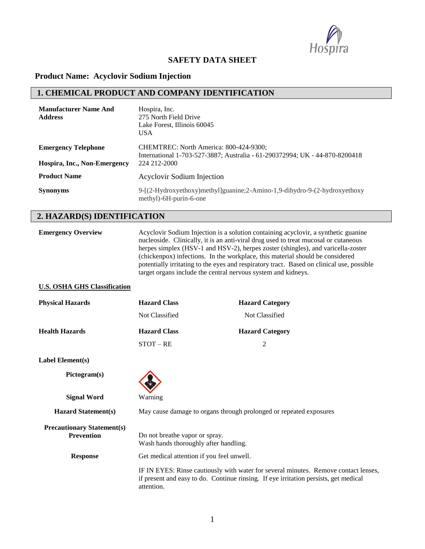

#### **SAFETY DATA SHEET**

#### **Product Name: Acyclovir Sodium Injection**

### **1. CHEMICAL PRODUCT AND COMPANY IDENTIFICATION**

| <b>Manufacturer Name And</b><br><b>Address</b> | Hospira, Inc.<br>275 North Field Drive<br>Lake Forest, Illinois 60045<br><b>USA</b>                                   |
|------------------------------------------------|-----------------------------------------------------------------------------------------------------------------------|
| <b>Emergency Telephone</b>                     | CHEMTREC: North America: 800-424-9300;<br>International 1-703-527-3887; Australia - 61-290372994; UK - 44-870-8200418 |
| Hospira, Inc., Non-Emergency                   | 224 212-2000                                                                                                          |
| <b>Product Name</b>                            | Acyclovir Sodium Injection                                                                                            |
| <b>Synonyms</b>                                | 9-[(2-Hydroxyethoxy)methyl]guanine;2-Amino-1,9-dihydro-9-(2-hydroxyethoxy<br>methyl)-6H-purin-6-one                   |

### **2. HAZARD(S) IDENTIFICATION**

| <b>Emergency Overview</b>           | Acyclovir Sodium Injection is a solution containing acyclovir, a synthetic guanine<br>nucleoside. Clinically, it is an anti-viral drug used to treat mucosal or cutaneous<br>herpes simplex (HSV-1 and HSV-2), herpes zoster (shingles), and varicella-zoster<br>(chickenpox) infections. In the workplace, this material should be considered<br>potentially irritating to the eyes and respiratory tract. Based on clinical use, possible<br>target organs include the central nervous system and kidneys. |                        |  |
|-------------------------------------|--------------------------------------------------------------------------------------------------------------------------------------------------------------------------------------------------------------------------------------------------------------------------------------------------------------------------------------------------------------------------------------------------------------------------------------------------------------------------------------------------------------|------------------------|--|
| <b>U.S. OSHA GHS Classification</b> |                                                                                                                                                                                                                                                                                                                                                                                                                                                                                                              |                        |  |
| <b>Physical Hazards</b>             | <b>Hazard Class</b>                                                                                                                                                                                                                                                                                                                                                                                                                                                                                          | <b>Hazard Category</b> |  |
|                                     | Not Classified                                                                                                                                                                                                                                                                                                                                                                                                                                                                                               | Not Classified         |  |
| <b>Health Hazards</b>               | <b>Hazard Class</b>                                                                                                                                                                                                                                                                                                                                                                                                                                                                                          | <b>Hazard Category</b> |  |
|                                     | $STOT - RE$                                                                                                                                                                                                                                                                                                                                                                                                                                                                                                  |                        |  |

**Label Element(s)**

**Pictogram(s)**

**Signal Word** Warning

**Hazard Statement(s)** May cause damage to organs through prolonged or repeated exposures

| <b>Precautionary Statement(s)</b><br><b>Prevention</b> | Do not breathe vapor or spray.<br>Wash hands thoroughly after handling.                                                                                                                   |
|--------------------------------------------------------|-------------------------------------------------------------------------------------------------------------------------------------------------------------------------------------------|
| <b>Response</b>                                        | Get medical attention if you feel unwell.                                                                                                                                                 |
|                                                        | IF IN EYES: Rinse cautiously with water for several minutes. Remove contact lenses,<br>if present and easy to do. Continue rinsing. If eye irritation persists, get medical<br>attention. |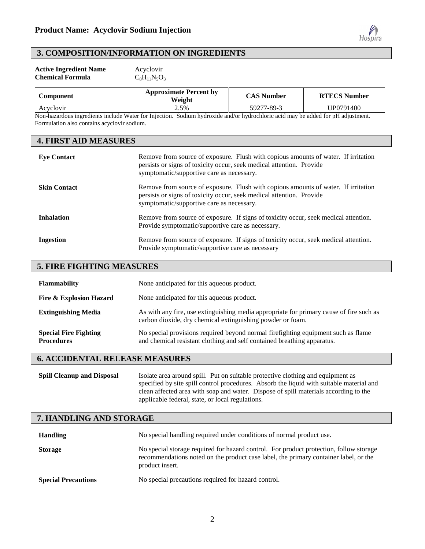

#### **3. COMPOSITION/INFORMATION ON INGREDIENTS**

| <b>Active Ingredient Name</b> | Acyclovir         |
|-------------------------------|-------------------|
| <b>Chemical Formula</b>       | $C_8H_{11}N_5O_3$ |

| Component | <b>Approximate Percent by</b><br>Weight | CAS Number | <b>RTECS Number</b> |
|-----------|-----------------------------------------|------------|---------------------|
| Acyclovir | 2.5%                                    | 59277-89-3 | UP0791400           |

Non-hazardous ingredients include Water for Injection. Sodium hydroxide and/or hydrochloric acid may be added for pH adjustment. Formulation also contains acyclovir sodium.

#### **4. FIRST AID MEASURES**

| <b>Eye Contact</b>  | Remove from source of exposure. Flush with copious amounts of water. If irritation<br>persists or signs of toxicity occur, seek medical attention. Provide<br>symptomatic/supportive care as necessary. |
|---------------------|---------------------------------------------------------------------------------------------------------------------------------------------------------------------------------------------------------|
| <b>Skin Contact</b> | Remove from source of exposure. Flush with copious amounts of water. If irritation<br>persists or signs of toxicity occur, seek medical attention. Provide<br>symptomatic/supportive care as necessary. |
| <b>Inhalation</b>   | Remove from source of exposure. If signs of toxicity occur, seek medical attention.<br>Provide symptomatic/supportive care as necessary.                                                                |
| <b>Ingestion</b>    | Remove from source of exposure. If signs of toxicity occur, seek medical attention.<br>Provide symptomatic/supportive care as necessary                                                                 |

#### **5. FIRE FIGHTING MEASURES**

| <b>Flammability</b>                               | None anticipated for this aqueous product.                                                                                                                   |
|---------------------------------------------------|--------------------------------------------------------------------------------------------------------------------------------------------------------------|
| <b>Fire &amp; Explosion Hazard</b>                | None anticipated for this aqueous product.                                                                                                                   |
| <b>Extinguishing Media</b>                        | As with any fire, use extinguishing media appropriate for primary cause of fire such as<br>carbon dioxide, dry chemical extinguishing powder or foam.        |
| <b>Special Fire Fighting</b><br><b>Procedures</b> | No special provisions required beyond normal firefighting equipment such as flame<br>and chemical resistant clothing and self contained breathing apparatus. |

### **6. ACCIDENTAL RELEASE MEASURES**

| <b>Spill Cleanup and Disposal</b> | Isolate area around spill. Put on suitable protective clothing and equipment as          |
|-----------------------------------|------------------------------------------------------------------------------------------|
|                                   | specified by site spill control procedures. Absorb the liquid with suitable material and |
|                                   | clean affected area with soap and water. Dispose of spill materials according to the     |
|                                   | applicable federal, state, or local regulations.                                         |

| 7. HANDLING AND STORAGE |
|-------------------------|
|-------------------------|

| <b>Handling</b>            | No special handling required under conditions of normal product use.                                                                                                                              |
|----------------------------|---------------------------------------------------------------------------------------------------------------------------------------------------------------------------------------------------|
| <b>Storage</b>             | No special storage required for hazard control. For product protection, follow storage<br>recommendations noted on the product case label, the primary container label, or the<br>product insert. |
| <b>Special Precautions</b> | No special precautions required for hazard control.                                                                                                                                               |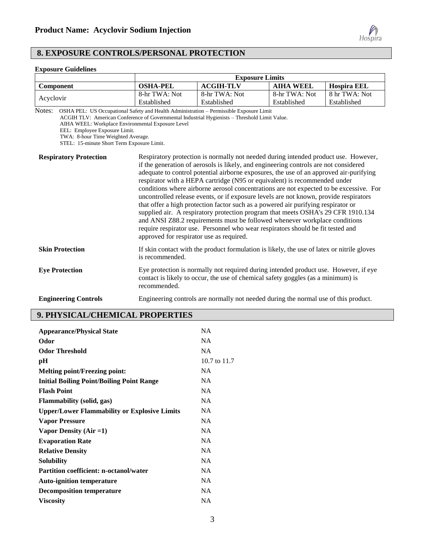

#### **8. EXPOSURE CONTROLS/PERSONAL PROTECTION**

# **Exposure Guidelines**

|                                                                                                                                                                                                                                                                             | <b>Exposure Limits</b>                   |                                                                                                                                                                                                                                                                                                                                                                                                                                                                                                                                                                                                                                                                                                                                                                                                                                                                                 |                  |                    |
|-----------------------------------------------------------------------------------------------------------------------------------------------------------------------------------------------------------------------------------------------------------------------------|------------------------------------------|---------------------------------------------------------------------------------------------------------------------------------------------------------------------------------------------------------------------------------------------------------------------------------------------------------------------------------------------------------------------------------------------------------------------------------------------------------------------------------------------------------------------------------------------------------------------------------------------------------------------------------------------------------------------------------------------------------------------------------------------------------------------------------------------------------------------------------------------------------------------------------|------------------|--------------------|
| Component                                                                                                                                                                                                                                                                   | <b>OSHA-PEL</b>                          | <b>ACGIH-TLV</b>                                                                                                                                                                                                                                                                                                                                                                                                                                                                                                                                                                                                                                                                                                                                                                                                                                                                | <b>AIHA WEEL</b> | <b>Hospira EEL</b> |
|                                                                                                                                                                                                                                                                             | 8-hr TWA: Not                            | 8-hr TWA: Not                                                                                                                                                                                                                                                                                                                                                                                                                                                                                                                                                                                                                                                                                                                                                                                                                                                                   | 8-hr TWA: Not    | 8 hr TWA: Not      |
| Acyclovir                                                                                                                                                                                                                                                                   | Established                              | Established                                                                                                                                                                                                                                                                                                                                                                                                                                                                                                                                                                                                                                                                                                                                                                                                                                                                     | Established      | Established        |
| Notes:<br>OSHA PEL: US Occupational Safety and Health Administration - Permissible Exposure Limit<br>AIHA WEEL: Workplace Environmental Exposure Level<br>EEL: Employee Exposure Limit.<br>TWA: 8-hour Time Weighted Average.<br>STEL: 15-minute Short Term Exposure Limit. |                                          | ACGIH TLV: American Conference of Governmental Industrial Hygienists - Threshold Limit Value.                                                                                                                                                                                                                                                                                                                                                                                                                                                                                                                                                                                                                                                                                                                                                                                   |                  |                    |
| <b>Respiratory Protection</b>                                                                                                                                                                                                                                               | approved for respirator use as required. | Respiratory protection is normally not needed during intended product use. However,<br>if the generation of aerosols is likely, and engineering controls are not considered<br>adequate to control potential airborne exposures, the use of an approved air-purifying<br>respirator with a HEPA cartridge (N95 or equivalent) is recommended under<br>conditions where airborne aerosol concentrations are not expected to be excessive. For<br>uncontrolled release events, or if exposure levels are not known, provide respirators<br>that offer a high protection factor such as a powered air purifying respirator or<br>supplied air. A respiratory protection program that meets OSHA's 29 CFR 1910.134<br>and ANSI Z88.2 requirements must be followed whenever workplace conditions<br>require respirator use. Personnel who wear respirators should be fit tested and |                  |                    |
| <b>Skin Protection</b>                                                                                                                                                                                                                                                      | is recommended.                          | If skin contact with the product formulation is likely, the use of latex or nitrile gloves                                                                                                                                                                                                                                                                                                                                                                                                                                                                                                                                                                                                                                                                                                                                                                                      |                  |                    |
| <b>Eye Protection</b>                                                                                                                                                                                                                                                       | recommended.                             | Eye protection is normally not required during intended product use. However, if eye<br>contact is likely to occur, the use of chemical safety goggles (as a minimum) is                                                                                                                                                                                                                                                                                                                                                                                                                                                                                                                                                                                                                                                                                                        |                  |                    |
| <b>Engineering Controls</b>                                                                                                                                                                                                                                                 |                                          | Engineering controls are normally not needed during the normal use of this product.                                                                                                                                                                                                                                                                                                                                                                                                                                                                                                                                                                                                                                                                                                                                                                                             |                  |                    |

## **9. PHYSICAL/CHEMICAL PROPERTIES**

| <b>Appearance/Physical State</b>                    | <b>NA</b>    |
|-----------------------------------------------------|--------------|
| Odor                                                | <b>NA</b>    |
| <b>Odor Threshold</b>                               | <b>NA</b>    |
| pН                                                  | 10.7 to 11.7 |
| <b>Melting point/Freezing point:</b>                | NA.          |
| <b>Initial Boiling Point/Boiling Point Range</b>    | NA.          |
| <b>Flash Point</b>                                  | <b>NA</b>    |
| <b>Flammability</b> (solid, gas)                    | NA.          |
| <b>Upper/Lower Flammability or Explosive Limits</b> | NA.          |
| <b>Vapor Pressure</b>                               | <b>NA</b>    |
| Vapor Density $(Air = 1)$                           | <b>NA</b>    |
| <b>Evaporation Rate</b>                             | <b>NA</b>    |
| <b>Relative Density</b>                             | <b>NA</b>    |
| Solubility                                          | <b>NA</b>    |
| <b>Partition coefficient: n-octanol/water</b>       | <b>NA</b>    |
| <b>Auto-ignition temperature</b>                    | <b>NA</b>    |
| <b>Decomposition temperature</b>                    | <b>NA</b>    |
| <b>Viscosity</b>                                    | <b>NA</b>    |
|                                                     |              |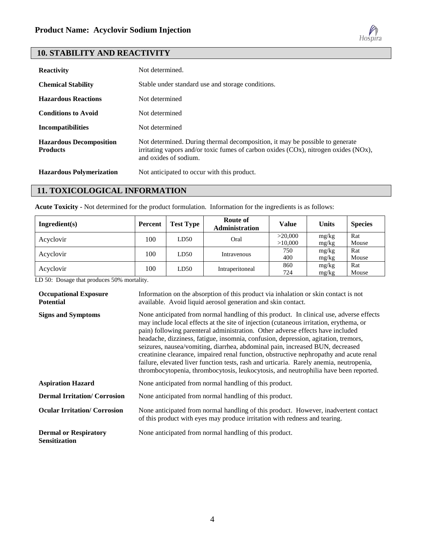

#### **10. STABILITY AND REACTIVITY**

| <b>Reactivity</b>                                 | Not determined.                                                                                                                                                                                    |
|---------------------------------------------------|----------------------------------------------------------------------------------------------------------------------------------------------------------------------------------------------------|
| <b>Chemical Stability</b>                         | Stable under standard use and storage conditions.                                                                                                                                                  |
| <b>Hazardous Reactions</b>                        | Not determined                                                                                                                                                                                     |
| <b>Conditions to Avoid</b>                        | Not determined                                                                                                                                                                                     |
| <b>Incompatibilities</b>                          | Not determined                                                                                                                                                                                     |
| <b>Hazardous Decomposition</b><br><b>Products</b> | Not determined. During thermal decomposition, it may be possible to generate<br>irritating vapors and/or toxic fumes of carbon oxides $(COx)$ , nitrogen oxides $(NOx)$ ,<br>and oxides of sodium. |
| <b>Hazardous Polymerization</b>                   | Not anticipated to occur with this product.                                                                                                                                                        |

### **11. TOXICOLOGICAL INFORMATION**

**Acute Toxicity -** Not determined for the product formulation. Information for the ingredients is as follows:

| Ingradient(s) | <b>Percent</b> | <b>Test Type</b> | Route of<br><b>Administration</b> | Value              | <b>Units</b>   | <b>Species</b> |
|---------------|----------------|------------------|-----------------------------------|--------------------|----------------|----------------|
| Acyclovir     | 100            | LD50             | Oral                              | >20,000<br>>10,000 | mg/kg<br>mg/kg | Rat<br>Mouse   |
| Acyclovir     | 100            | LD50             | Intravenous                       | 750<br>400         | mg/kg<br>mg/kg | Rat<br>Mouse   |
| Acyclovir     | 100            | LD50             | Intraperitoneal                   | 860<br>724         | mg/kg<br>mg/kg | Rat<br>Mouse   |

LD 50: Dosage that produces 50% mortality.

| <b>Occupational Exposure</b><br><b>Potential</b>     | Information on the absorption of this product via inhalation or skin contact is not<br>available. Avoid liquid aerosol generation and skin contact.                                                                                                                                                                                                                                                                                                                                                                                                                                                                                                                                                                     |
|------------------------------------------------------|-------------------------------------------------------------------------------------------------------------------------------------------------------------------------------------------------------------------------------------------------------------------------------------------------------------------------------------------------------------------------------------------------------------------------------------------------------------------------------------------------------------------------------------------------------------------------------------------------------------------------------------------------------------------------------------------------------------------------|
| <b>Signs and Symptoms</b>                            | None anticipated from normal handling of this product. In clinical use, adverse effects<br>may include local effects at the site of injection (cutaneous irritation, erythema, or<br>pain) following parenteral administration. Other adverse effects have included<br>headache, dizziness, fatigue, insomnia, confusion, depression, agitation, tremors,<br>seizures, nausea/vomiting, diarrhea, abdominal pain, increased BUN, decreased<br>creatinine clearance, impaired renal function, obstructive nephropathy and acute renal<br>failure, elevated liver function tests, rash and urticaria. Rarely anemia, neutropenia,<br>thrombocytopenia, thrombocytosis, leukocytosis, and neutrophilia have been reported. |
| <b>Aspiration Hazard</b>                             | None anticipated from normal handling of this product.                                                                                                                                                                                                                                                                                                                                                                                                                                                                                                                                                                                                                                                                  |
| <b>Dermal Irritation/ Corrosion</b>                  | None anticipated from normal handling of this product.                                                                                                                                                                                                                                                                                                                                                                                                                                                                                                                                                                                                                                                                  |
| <b>Ocular Irritation/ Corrosion</b>                  | None anticipated from normal handling of this product. However, inadvertent contact<br>of this product with eyes may produce irritation with redness and tearing.                                                                                                                                                                                                                                                                                                                                                                                                                                                                                                                                                       |
| <b>Dermal or Respiratory</b><br><b>Sensitization</b> | None anticipated from normal handling of this product.                                                                                                                                                                                                                                                                                                                                                                                                                                                                                                                                                                                                                                                                  |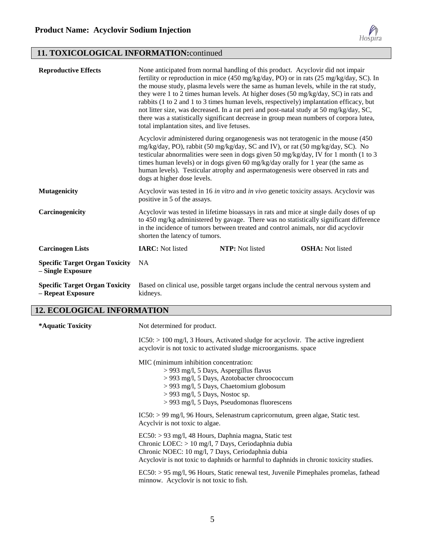

## **11. TOXICOLOGICAL INFORMATION:**continued

| <b>Reproductive Effects</b>                                | None anticipated from normal handling of this product. Acyclovir did not impair<br>fertility or reproduction in mice (450 mg/kg/day, PO) or in rats (25 mg/kg/day, SC). In<br>the mouse study, plasma levels were the same as human levels, while in the rat study,<br>they were 1 to 2 times human levels. At higher doses (50 mg/kg/day, SC) in rats and<br>rabbits (1 to 2 and 1 to 3 times human levels, respectively) implantation efficacy, but<br>not litter size, was decreased. In a rat peri and post-natal study at 50 mg/kg/day, SC,<br>there was a statistically significant decrease in group mean numbers of corpora lutea,<br>total implantation sites, and live fetuses. |                                                                                                                                                                                                                                                                                                                                               |                                                                                                                                                                                   |
|------------------------------------------------------------|-------------------------------------------------------------------------------------------------------------------------------------------------------------------------------------------------------------------------------------------------------------------------------------------------------------------------------------------------------------------------------------------------------------------------------------------------------------------------------------------------------------------------------------------------------------------------------------------------------------------------------------------------------------------------------------------|-----------------------------------------------------------------------------------------------------------------------------------------------------------------------------------------------------------------------------------------------------------------------------------------------------------------------------------------------|-----------------------------------------------------------------------------------------------------------------------------------------------------------------------------------|
|                                                            | dogs at higher dose levels.                                                                                                                                                                                                                                                                                                                                                                                                                                                                                                                                                                                                                                                               | Acyclovir administered during organogenesis was not teratogenic in the mouse (450)<br>mg/kg/day, PO), rabbit (50 mg/kg/day, SC and IV), or rat (50 mg/kg/day, SC). No<br>times human levels) or in dogs given 60 mg/kg/day orally for 1 year (the same as<br>human levels). Testicular atrophy and aspermatogenesis were observed in rats and | testicular abnormalities were seen in dogs given 50 mg/kg/day, IV for 1 month (1 to 3                                                                                             |
| <b>Mutagenicity</b>                                        | positive in 5 of the assays.                                                                                                                                                                                                                                                                                                                                                                                                                                                                                                                                                                                                                                                              | Acyclovir was tested in 16 in vitro and in vivo genetic toxicity assays. Acyclovir was                                                                                                                                                                                                                                                        |                                                                                                                                                                                   |
| Carcinogenicity                                            | shorten the latency of tumors.                                                                                                                                                                                                                                                                                                                                                                                                                                                                                                                                                                                                                                                            | in the incidence of tumors between treated and control animals, nor did acyclovir                                                                                                                                                                                                                                                             | Acyclovir was tested in lifetime bioassays in rats and mice at single daily doses of up<br>to 450 mg/kg administered by gavage. There was no statistically significant difference |
| <b>Carcinogen Lists</b>                                    | <b>IARC:</b> Not listed                                                                                                                                                                                                                                                                                                                                                                                                                                                                                                                                                                                                                                                                   | NTP: Not listed                                                                                                                                                                                                                                                                                                                               | <b>OSHA:</b> Not listed                                                                                                                                                           |
| <b>Specific Target Organ Toxicity</b><br>- Single Exposure | <b>NA</b>                                                                                                                                                                                                                                                                                                                                                                                                                                                                                                                                                                                                                                                                                 |                                                                                                                                                                                                                                                                                                                                               |                                                                                                                                                                                   |
| <b>Specific Target Organ Toxicity</b><br>- Repeat Exposure | kidneys.                                                                                                                                                                                                                                                                                                                                                                                                                                                                                                                                                                                                                                                                                  | Based on clinical use, possible target organs include the central nervous system and                                                                                                                                                                                                                                                          |                                                                                                                                                                                   |

## **12. ECOLOGICAL INFORMATION**

| *Aquatic Toxicity | Not determined for product.                                                                                                                                                                                                                                                                                                                                                                           |
|-------------------|-------------------------------------------------------------------------------------------------------------------------------------------------------------------------------------------------------------------------------------------------------------------------------------------------------------------------------------------------------------------------------------------------------|
|                   | $IC50: > 100$ mg/l, 3 Hours, Activated sludge for acyclovir. The active ingredient<br>acyclovir is not toxic to activated sludge microorganisms. space                                                                                                                                                                                                                                                |
|                   | MIC (minimum inhibition concentration:<br>> 993 mg/l, 5 Days, Aspergillus flavus<br>> 993 mg/l, 5 Days, Azotobacter chroococcum<br>> 993 mg/l, 5 Days, Chaetomium globosum<br>$>$ 993 mg/l, 5 Days, Nostoc sp.<br>> 993 mg/l, 5 Days, Pseudomonas fluorescens                                                                                                                                         |
|                   | $IC50: > 99$ mg/l, 96 Hours, Selenastrum capricornutum, green algae, Static test.<br>Acyclvir is not toxic to algae.                                                                                                                                                                                                                                                                                  |
|                   | $EC50: > 93$ mg/l, 48 Hours, Daphnia magna, Static test<br>Chronic LOEC: $> 10$ mg/l, 7 Days, Ceriodaphnia dubia<br>Chronic NOEC: 10 mg/l, 7 Days, Ceriodaphnia dubia<br>Acyclovir is not toxic to daphnids or harmful to daphnids in chronic toxicity studies.<br>$EC50: > 95$ mg/l, 96 Hours, Static renewal test, Juvenile Pimephales promelas, fathead<br>minnow. Acyclovir is not toxic to fish. |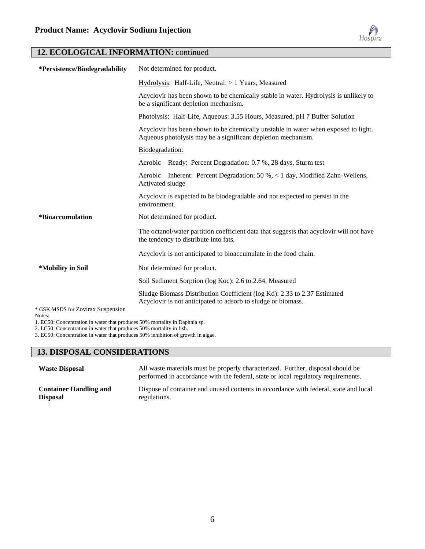

## **12. ECOLOGICAL INFORMATION:** continued

| *Persistence/Biodegradability               | Not determined for product.                                                                                                                        |
|---------------------------------------------|----------------------------------------------------------------------------------------------------------------------------------------------------|
|                                             | Hydrolysis: Half-Life, Neutral: > 1 Years, Measured                                                                                                |
|                                             | Acyclovir has been shown to be chemically stable in water. Hydrolysis is unlikely to<br>be a significant depletion mechanism.                      |
|                                             | Photolysis: Half-Life, Aqueous: 3.55 Hours, Measured, pH 7 Buffer Solution                                                                         |
|                                             | Acyclovir has been shown to be chemically unstable in water when exposed to light.<br>Aqueous photolysis may be a significant depletion mechanism. |
|                                             | Biodegradation:                                                                                                                                    |
|                                             | Aerobic – Ready: Percent Degradation: 0.7 %, 28 days, Sturm test                                                                                   |
|                                             | Aerobic – Inherent: Percent Degradation: 50 %, $\lt 1$ day, Modified Zahn-Wellens,<br>Activated sludge                                             |
|                                             | Acyclovir is expected to be biodegradable and not expected to persist in the<br>environment.                                                       |
| <i><b>*Bioaccumulation</b></i>              | Not determined for product.                                                                                                                        |
|                                             | The octanol/water partition coefficient data that suggests that acyclovir will not have<br>the tendency to distribute into fats.                   |
|                                             | Acyclovir is not anticipated to bioaccumulate in the food chain.                                                                                   |
| *Mobility in Soil                           | Not determined for product.                                                                                                                        |
|                                             | Soil Sediment Sorption (log Koc): 2.6 to 2.64, Measured                                                                                            |
|                                             | Sludge Biomass Distribution Coefficient (log Kd): 2.33 to 2.37 Estimated<br>Acyclovir is not anticipated to adsorb to sludge or biomass.           |
| * GSK MSDS for Zovirax Suspension<br>Notes: |                                                                                                                                                    |

1. EC50: Concentration in water that produces 50% mortality in Daphnia sp.

2. LC50: Concentration in water that produces 50% mortality in fish.

3. EC50: Concentration in water that produces 50% inhibition of growth in algae.

## **13. DISPOSAL CONSIDERATIONS**

| <b>Waste Disposal</b>         | All waste materials must be properly characterized. Further, disposal should be<br>performed in accordance with the federal, state or local regulatory requirements. |
|-------------------------------|----------------------------------------------------------------------------------------------------------------------------------------------------------------------|
| <b>Container Handling and</b> | Dispose of container and unused contents in accordance with federal, state and local                                                                                 |
| <b>Disposal</b>               | regulations.                                                                                                                                                         |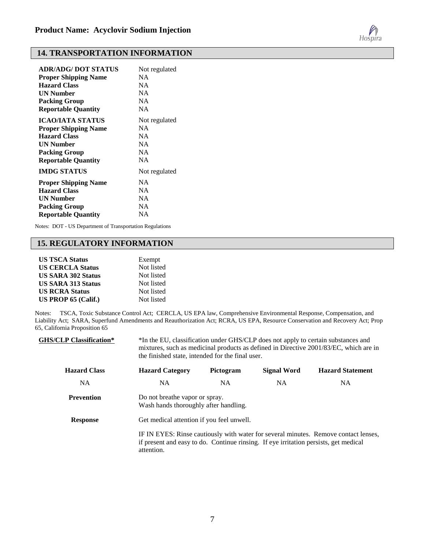

#### **14. TRANSPORTATION INFORMATION**

| <b>ADR/ADG/ DOT STATUS</b>  | Not regulated |
|-----------------------------|---------------|
| <b>Proper Shipping Name</b> | <b>NA</b>     |
| <b>Hazard Class</b>         | <b>NA</b>     |
| <b>UN Number</b>            | <b>NA</b>     |
| <b>Packing Group</b>        | NA            |
| <b>Reportable Quantity</b>  | <b>NA</b>     |
| ICAO/IATA STATUS            | Not regulated |
| <b>Proper Shipping Name</b> | NA.           |
| <b>Hazard Class</b>         | <b>NA</b>     |
| <b>UN Number</b>            | <b>NA</b>     |
| <b>Packing Group</b>        | <b>NA</b>     |
| <b>Reportable Quantity</b>  | <b>NA</b>     |
| <b>IMDG STATUS</b>          | Not regulated |
| <b>Proper Shipping Name</b> | NA            |
| <b>Hazard Class</b>         | <b>NA</b>     |
| <b>UN Number</b>            | <b>NA</b>     |
| <b>Packing Group</b>        | <b>NA</b>     |
| <b>Reportable Quantity</b>  | NA            |

Notes: DOT - US Department of Transportation Regulations

#### **15. REGULATORY INFORMATION**

| <b>US TSCA Status</b>     | Exempt     |
|---------------------------|------------|
| <b>US CERCLA Status</b>   | Not listed |
| <b>US SARA 302 Status</b> | Not listed |
| <b>US SARA 313 Status</b> | Not listed |
| <b>US RCRA Status</b>     | Not listed |
| US PROP $65$ (Calif.)     | Not listed |

Notes: TSCA, Toxic Substance Control Act; CERCLA, US EPA law, Comprehensive Environmental Response, Compensation, and Liability Act; SARA, Superfund Amendments and Reauthorization Act; RCRA, US EPA, Resource Conservation and Recovery Act; Prop 65, California Proposition 65

| <b>GHS/CLP Classification*</b> | *In the EU, classification under GHS/CLP does not apply to certain substances and<br>mixtures, such as medicinal products as defined in Directive 2001/83/EC, which are in<br>the finished state, intended for the final user. |           |                    |                                                                                     |
|--------------------------------|--------------------------------------------------------------------------------------------------------------------------------------------------------------------------------------------------------------------------------|-----------|--------------------|-------------------------------------------------------------------------------------|
| <b>Hazard Class</b>            | <b>Hazard Category</b>                                                                                                                                                                                                         | Pictogram | <b>Signal Word</b> | <b>Hazard Statement</b>                                                             |
| <b>NA</b>                      | NA.                                                                                                                                                                                                                            | NA.       | NA.                | <b>NA</b>                                                                           |
| <b>Prevention</b>              | Do not breathe vapor or spray.<br>Wash hands thoroughly after handling.                                                                                                                                                        |           |                    |                                                                                     |
| <b>Response</b>                | Get medical attention if you feel unwell.                                                                                                                                                                                      |           |                    |                                                                                     |
|                                | if present and easy to do. Continue rinsing. If eye irritation persists, get medical<br>attention.                                                                                                                             |           |                    | IF IN EYES: Rinse cautiously with water for several minutes. Remove contact lenses, |